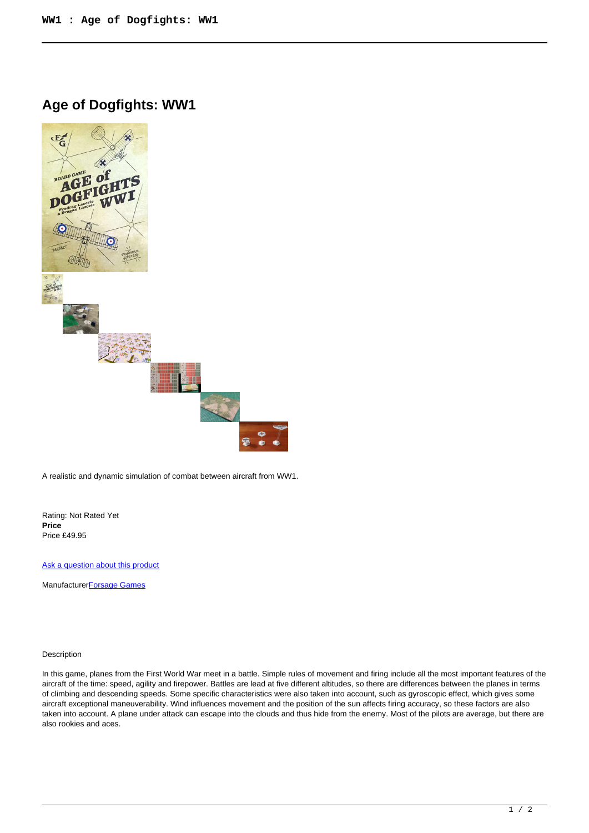**Age of Dogfights: WW1**



A realistic and dynamic simulation of combat between aircraft from WW1.

Rating: Not Rated Yet **Price**  Price £49.95

[Ask a question about this product](https://www.secondchancegames.com/index.php?option=com_virtuemart&view=productdetails&task=askquestion&virtuemart_product_id=13247&virtuemart_category_id=6&tmpl=component)

Manufacturer**[Forsage Games](https://www.secondchancegames.com/index.php?option=com_virtuemart&view=manufacturer&virtuemart_manufacturer_id=3089&tmpl=component)** 

## Description

In this game, planes from the First World War meet in a battle. Simple rules of movement and firing include all the most important features of the aircraft of the time: speed, agility and firepower. Battles are lead at five different altitudes, so there are differences between the planes in terms of climbing and descending speeds. Some specific characteristics were also taken into account, such as gyroscopic effect, which gives some aircraft exceptional maneuverability. Wind influences movement and the position of the sun affects firing accuracy, so these factors are also taken into account. A plane under attack can escape into the clouds and thus hide from the enemy. Most of the pilots are average, but there are also rookies and aces.